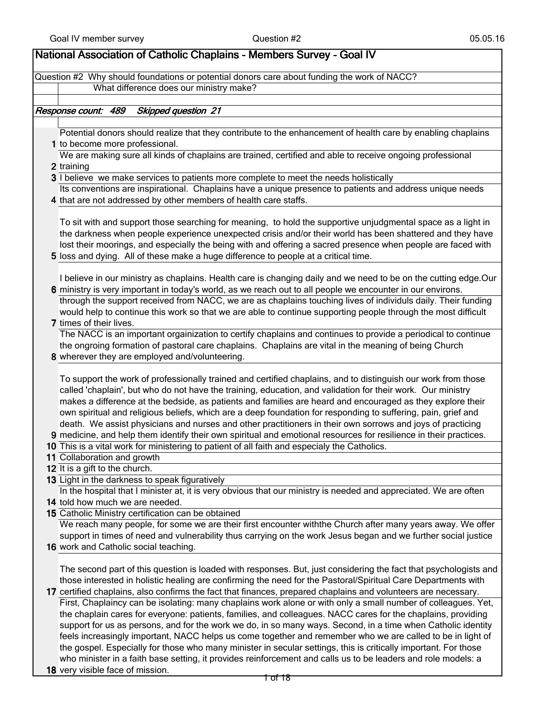| National Association of Catholic Chaplains - Members Survey - Goal IV                                             |
|-------------------------------------------------------------------------------------------------------------------|
|                                                                                                                   |
| Question #2 Why should foundations or potential donors care about funding the work of NACC?                       |
| What difference does our ministry make?                                                                           |
|                                                                                                                   |
| Response count: 489<br><b>Skipped question 21</b>                                                                 |
|                                                                                                                   |
| Potential donors should realize that they contribute to the enhancement of health care by enabling chaplains      |
| 1 to become more professional.                                                                                    |
| We are making sure all kinds of chaplains are trained, certified and able to receive ongoing professional         |
| 2 training<br>3 I believe we make services to patients more complete to meet the needs holistically               |
|                                                                                                                   |
| Its conventions are inspirational. Chaplains have a unique presence to patients and address unique needs          |
| 4 that are not addressed by other members of health care staffs.                                                  |
|                                                                                                                   |
| To sit with and support those searching for meaning, to hold the supportive unjudgmental space as a light in      |
| the darkness when people experience unexpected crisis and/or their world has been shattered and they have         |
| lost their moorings, and especially the being with and offering a sacred presence when people are faced with      |
| 5 loss and dying. All of these make a huge difference to people at a critical time.                               |
|                                                                                                                   |
| I believe in our ministry as chaplains. Health care is changing daily and we need to be on the cutting edge.Our   |
| 6 ministry is very important in today's world, as we reach out to all people we encounter in our environs.        |
| through the support received from NACC, we are as chaplains touching lives of individuls daily. Their funding     |
| would help to continue this work so that we are able to continue supporting people through the most difficult     |
| 7 times of their lives.                                                                                           |
| The NACC is an important orgainization to certify chaplains and continues to provide a periodical to continue     |
| the ongroing formation of pastoral care chaplains. Chaplains are vital in the meaning of being Church             |
| 8 wherever they are employed and/volunteering.                                                                    |
|                                                                                                                   |
| To support the work of professionally trained and certified chaplains, and to distinguish our work from those     |
| called 'chaplain', but who do not have the training, education, and validation for their work. Our ministry       |
| makes a difference at the bedside, as patients and families are heard and encouraged as they explore their        |
| own spiritual and religious beliefs, which are a deep foundation for responding to suffering, pain, grief and     |
| death. We assist physicians and nurses and other practitioners in their own sorrows and joys of practicing        |
| 9 medicine, and help them identify their own spiritual and emotional resources for resilience in their practices. |
| 10 This is a vital work for ministering to patient of all faith and especialy the Catholics.                      |
| 11 Collaboration and growth                                                                                       |
| 12 It is a gift to the church.                                                                                    |
| 13 Light in the darkness to speak figuratively                                                                    |
| In the hospital that I minister at, it is very obvious that our ministry is needed and appreciated. We are often  |
| 14 told how much we are needed.                                                                                   |
| 15 Catholic Ministry certification can be obtained                                                                |
| We reach many people, for some we are their first encounter withthe Church after many years away. We offer        |
| support in times of need and vulnerability thus carrying on the work Jesus began and we further social justice    |
| 16 work and Catholic social teaching.                                                                             |
|                                                                                                                   |
| The second part of this question is loaded with responses. But, just considering the fact that psychologists and  |
| those interested in holistic healing are confirming the need for the Pastoral/Spiritual Care Departments with     |
| 17 certified chaplains, also confirms the fact that finances, prepared chaplains and volunteers are necessary.    |
| First, Chaplaincy can be isolating: many chaplains work alone or with only a small number of colleagues. Yet,     |
| the chaplain cares for everyone: patients, families, and colleagues. NACC cares for the chaplains, providing      |
| support for us as persons, and for the work we do, in so many ways. Second, in a time when Catholic identity      |
| feels increasingly important, NACC helps us come together and remember who we are called to be in light of        |
| the gospel. Especially for those who many minister in secular settings, this is critically important. For those   |
| who minister in a faith base setting, it provides reinforcement and calls us to be leaders and role models: a     |

18 very visible face of mission.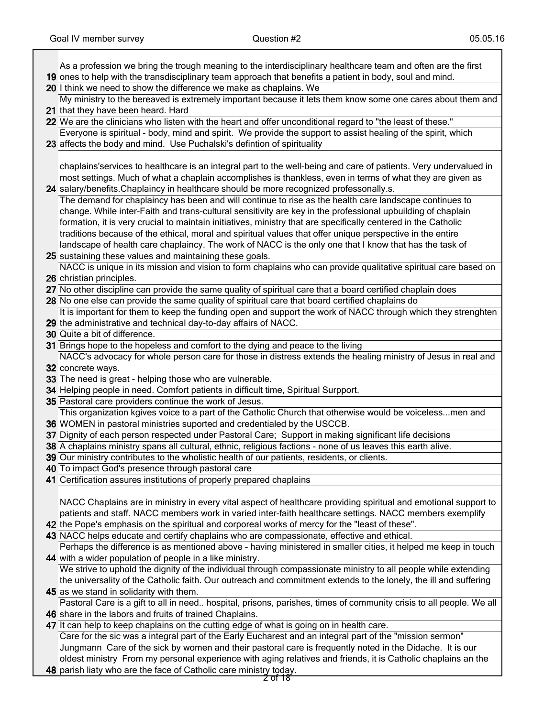ן

| As a profession we bring the trough meaning to the interdisciplinary healthcare team and often are the first<br>19 ones to help with the transdisciplinary team approach that benefits a patient in body, soul and mind.  |
|---------------------------------------------------------------------------------------------------------------------------------------------------------------------------------------------------------------------------|
| 20 I think we need to show the difference we make as chaplains. We                                                                                                                                                        |
| My ministry to the bereaved is extremely important because it lets them know some one cares about them and                                                                                                                |
| 21 that they have been heard. Hard                                                                                                                                                                                        |
| 22 We are the clinicians who listen with the heart and offer unconditional regard to "the least of these."                                                                                                                |
| Everyone is spiritual - body, mind and spirit. We provide the support to assist healing of the spirit, which                                                                                                              |
| 23 affects the body and mind. Use Puchalski's defintion of spirituality                                                                                                                                                   |
|                                                                                                                                                                                                                           |
| chaplains'services to healthcare is an integral part to the well-being and care of patients. Very undervalued in                                                                                                          |
| most settings. Much of what a chaplain accomplishes is thankless, even in terms of what they are given as                                                                                                                 |
| 24 salary/benefits. Chaplaincy in healthcare should be more recognized professonally.s.                                                                                                                                   |
| The demand for chaplaincy has been and will continue to rise as the health care landscape continues to                                                                                                                    |
| change. While inter-Faith and trans-cultural sensitivity are key in the professional upbuilding of chaplain                                                                                                               |
| formation, it is very crucial to maintain initiatives, ministry that are specifically centered in the Catholic                                                                                                            |
| traditions because of the ethical, moral and spiritual values that offer unique perspective in the entire                                                                                                                 |
| landscape of health care chaplaincy. The work of NACC is the only one that I know that has the task of                                                                                                                    |
| 25 sustaining these values and maintaining these goals.                                                                                                                                                                   |
| NACC is unique in its mission and vision to form chaplains who can provide qualitative spiritual care based on                                                                                                            |
| 26 christian principles.                                                                                                                                                                                                  |
| 27 No other discipline can provide the same quality of spiritual care that a board certified chaplain does                                                                                                                |
| 28 No one else can provide the same quality of spiritual care that board certified chaplains do                                                                                                                           |
| It is important for them to keep the funding open and support the work of NACC through which they strenghten                                                                                                              |
| 29 the administrative and technical day-to-day affairs of NACC.                                                                                                                                                           |
| 30 Quite a bit of difference.                                                                                                                                                                                             |
| 31 Brings hope to the hopeless and comfort to the dying and peace to the living                                                                                                                                           |
| NACC's advocacy for whole person care for those in distress extends the healing ministry of Jesus in real and<br>32 concrete ways.                                                                                        |
| 33 The need is great - helping those who are vulnerable.                                                                                                                                                                  |
|                                                                                                                                                                                                                           |
|                                                                                                                                                                                                                           |
| 34 Helping people in need. Comfort patients in difficult time, Spiritual Surpport.                                                                                                                                        |
| 35 Pastoral care providers continue the work of Jesus.                                                                                                                                                                    |
| This organization kgives voice to a part of the Catholic Church that otherwise would be voicelessmen and                                                                                                                  |
| 36 WOMEN in pastoral ministries suported and credentialed by the USCCB.                                                                                                                                                   |
| 37 Dignity of each person respected under Pastoral Care; Support in making significant life decisions<br>38 A chaplains ministry spans all cultural, ethnic, religious factions - none of us leaves this earth alive.     |
| 39 Our ministry contributes to the wholistic health of our patients, residents, or clients.                                                                                                                               |
| 40 To impact God's presence through pastoral care                                                                                                                                                                         |
| 41 Certification assures institutions of properly prepared chaplains                                                                                                                                                      |
|                                                                                                                                                                                                                           |
| NACC Chaplains are in ministry in every vital aspect of healthcare providing spiritual and emotional support to                                                                                                           |
| patients and staff. NACC members work in varied inter-faith healthcare settings. NACC members exemplify                                                                                                                   |
| 42 the Pope's emphasis on the spiritual and corporeal works of mercy for the "least of these".                                                                                                                            |
| 43 NACC helps educate and certify chaplains who are compassionate, effective and ethical.                                                                                                                                 |
| Perhaps the difference is as mentioned above - having ministered in smaller cities, it helped me keep in touch                                                                                                            |
| 44 with a wider population of people in a like ministry.                                                                                                                                                                  |
| We strive to uphold the dignity of the individual through compassionate ministry to all people while extending                                                                                                            |
| the universality of the Catholic faith. Our outreach and commitment extends to the lonely, the ill and suffering                                                                                                          |
| 45 as we stand in solidarity with them.                                                                                                                                                                                   |
| Pastoral Care is a gift to all in need hospital, prisons, parishes, times of community crisis to all people. We all                                                                                                       |
| 46 share in the labors and fruits of trained Chaplains.                                                                                                                                                                   |
| 47 It can help to keep chaplains on the cutting edge of what is going on in health care.                                                                                                                                  |
| Care for the sic was a integral part of the Early Eucharest and an integral part of the "mission sermon"                                                                                                                  |
| Jungmann Care of the sick by women and their pastoral care is frequently noted in the Didache. It is our<br>oldest ministry From my personal experience with aging relatives and friends, it is Catholic chaplains an the |

48 parish liaty who are the face of Catholic care ministry today.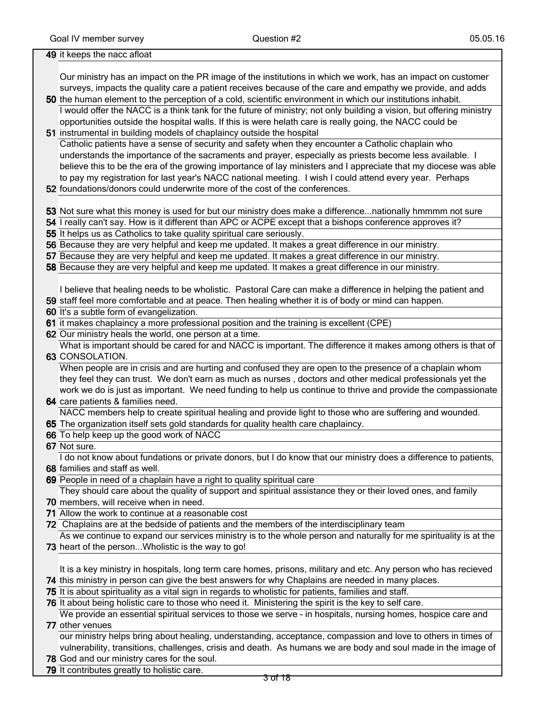| 49 it keeps the nacc afloat                                                                                                                                                                                                   |
|-------------------------------------------------------------------------------------------------------------------------------------------------------------------------------------------------------------------------------|
|                                                                                                                                                                                                                               |
| Our ministry has an impact on the PR image of the institutions in which we work, has an impact on customer                                                                                                                    |
| surveys, impacts the quality care a patient receives because of the care and empathy we provide, and adds                                                                                                                     |
| 50 the human element to the perception of a cold, scientific environment in which our institutions inhabit.                                                                                                                   |
| I would offer the NACC is a think tank for the future of ministry; not only building a vision, but offering ministry                                                                                                          |
| opportunities outside the hospital walls. If this is were helath care is really going, the NACC could be                                                                                                                      |
| 51 instrumental in building models of chaplaincy outside the hospital                                                                                                                                                         |
| Catholic patients have a sense of security and safety when they encounter a Catholic chaplain who                                                                                                                             |
| understands the importance of the sacraments and prayer, especially as priests become less available. I                                                                                                                       |
| believe this to be the era of the growing importance of lay ministers and I appreciate that my diocese was able                                                                                                               |
| to pay my registration for last year's NACC national meeting. I wish I could attend every year. Perhaps                                                                                                                       |
| 52 foundations/donors could underwrite more of the cost of the conferences.                                                                                                                                                   |
|                                                                                                                                                                                                                               |
| 53 Not sure what this money is used for but our ministry does make a differencenationally hmmmm not sure                                                                                                                      |
| 54 I really can't say. How is it different than APC or ACPE except that a bishops conference approves it?                                                                                                                     |
| 55 It helps us as Catholics to take quality spiritual care seriously.                                                                                                                                                         |
| 56 Because they are very helpful and keep me updated. It makes a great difference in our ministry.                                                                                                                            |
| 57 Because they are very helpful and keep me updated. It makes a great difference in our ministry.                                                                                                                            |
| 58 Because they are very helpful and keep me updated. It makes a great difference in our ministry.                                                                                                                            |
|                                                                                                                                                                                                                               |
| I believe that healing needs to be wholistic. Pastoral Care can make a difference in helping the patient and                                                                                                                  |
| 59 staff feel more comfortable and at peace. Then healing whether it is of body or mind can happen.                                                                                                                           |
| 60 It's a subtle form of evangelization.                                                                                                                                                                                      |
| 61 it makes chaplaincy a more professional position and the training is excellent (CPE)                                                                                                                                       |
| 62 Our ministry heals the world, one person at a time.                                                                                                                                                                        |
| What is important should be cared for and NACC is important. The difference it makes among others is that of                                                                                                                  |
| 63 CONSOLATION.                                                                                                                                                                                                               |
| When people are in crisis and are hurting and confused they are open to the presence of a chaplain whom                                                                                                                       |
| they feel they can trust. We don't earn as much as nurses, doctors and other medical professionals yet the                                                                                                                    |
| work we do is just as important. We need funding to help us continue to thrive and provide the compassionate                                                                                                                  |
| 64 care patients & families need.                                                                                                                                                                                             |
| NACC members help to create spiritual healing and provide light to those who are suffering and wounded.                                                                                                                       |
| 65 The organization itself sets gold standards for quality health care chaplaincy.                                                                                                                                            |
| 66 To help keep up the good work of NACC                                                                                                                                                                                      |
| 67 Not sure.                                                                                                                                                                                                                  |
| I do not know about fundations or private donors, but I do know that our ministry does a difference to patients,                                                                                                              |
| 68 families and staff as well.                                                                                                                                                                                                |
| 69 People in need of a chaplain have a right to quality spiritual care                                                                                                                                                        |
| They should care about the quality of support and spiritual assistance they or their loved ones, and family                                                                                                                   |
| 70 members, will receive when in need.                                                                                                                                                                                        |
| 71 Allow the work to continue at a reasonable cost                                                                                                                                                                            |
| 72 Chaplains are at the bedside of patients and the members of the interdisciplinary team<br>As we continue to expand our services ministry is to the whole person and naturally for me spirituality is at the                |
|                                                                                                                                                                                                                               |
| 73 heart of the personWholistic is the way to go!                                                                                                                                                                             |
| It is a key ministry in hospitals, long term care homes, prisons, military and etc. Any person who has recieved                                                                                                               |
| 74 this ministry in person can give the best answers for why Chaplains are needed in many places.                                                                                                                             |
| 75 It is about spirituality as a vital sign in regards to wholistic for patients, families and staff.                                                                                                                         |
| 76 It about being holistic care to those who need it. Ministering the spirit is the key to self care.                                                                                                                         |
| We provide an essential spiritual services to those we serve - in hospitals, nursing homes, hospice care and                                                                                                                  |
| 77 other venues                                                                                                                                                                                                               |
|                                                                                                                                                                                                                               |
|                                                                                                                                                                                                                               |
| our ministry helps bring about healing, understanding, acceptance, compassion and love to others in times of<br>vulnerability, transitions, challenges, crisis and death. As humans we are body and soul made in the image of |

79 It contributes greatly to holistic care.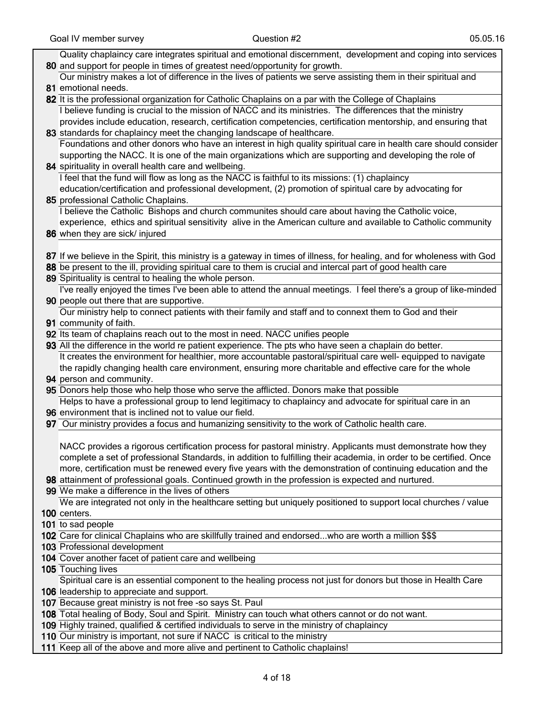| Quality chaplaincy care integrates spiritual and emotional discernment, development and coping into services            |
|-------------------------------------------------------------------------------------------------------------------------|
| 80 and support for people in times of greatest need/opportunity for growth.                                             |
| Our ministry makes a lot of difference in the lives of patients we serve assisting them in their spiritual and          |
| 81 emotional needs.                                                                                                     |
| 82 It is the professional organization for Catholic Chaplains on a par with the College of Chaplains                    |
| I believe funding is crucial to the mission of NACC and its ministries. The differences that the ministry               |
| provides include education, research, certification competencies, certification mentorship, and ensuring that           |
| 83 standards for chaplaincy meet the changing landscape of healthcare.                                                  |
| Foundations and other donors who have an interest in high quality spiritual care in health care should consider         |
| supporting the NACC. It is one of the main organizations which are supporting and developing the role of                |
| 84 spirituality in overall health care and wellbeing.                                                                   |
|                                                                                                                         |
| I feel that the fund will flow as long as the NACC is faithful to its missions: (1) chaplaincy                          |
| education/certification and professional development, (2) promotion of spiritual care by advocating for                 |
| 85 professional Catholic Chaplains.                                                                                     |
| I believe the Catholic Bishops and church communites should care about having the Catholic voice,                       |
| experience, ethics and spiritual sensitivity alive in the American culture and available to Catholic community          |
| 86 when they are sick/ injured                                                                                          |
|                                                                                                                         |
| 87 If we believe in the Spirit, this ministry is a gateway in times of illness, for healing, and for wholeness with God |
| 88 be present to the ill, providing spiritual care to them is crucial and intercal part of good health care             |
| 89 Spirituality is central to healing the whole person.                                                                 |
| I've really enjoyed the times I've been able to attend the annual meetings. I feel there's a group of like-minded       |
| 90 people out there that are supportive.                                                                                |
| Our ministry help to connect patients with their family and staff and to connext them to God and their                  |
| 91 community of faith.                                                                                                  |
| 92 Its team of chaplains reach out to the most in need. NACC unifies people                                             |
| 93 All the difference in the world re patient experience. The pts who have seen a chaplain do better.                   |
| It creates the environment for healthier, more accountable pastoral/spiritual care well- equipped to navigate           |
| the rapidly changing health care environment, ensuring more charitable and effective care for the whole                 |
| 94 person and community.                                                                                                |
| 95 Donors help those who help those who serve the afflicted. Donors make that possible                                  |
| Helps to have a professional group to lend legitimacy to chaplaincy and advocate for spiritual care in an               |
| 96 environment that is inclined not to value our field.                                                                 |
| 97 Our ministry provides a focus and humanizing sensitivity to the work of Catholic health care.                        |
|                                                                                                                         |
| NACC provides a rigorous certification process for pastoral ministry. Applicants must demonstrate how they              |
| complete a set of professional Standards, in addition to fulfilling their academia, in order to be certified. Once      |
| more, certification must be renewed every five years with the demonstration of continuing education and the             |
| 98 attainment of professional goals. Continued growth in the profession is expected and nurtured.                       |
| 99 We make a difference in the lives of others                                                                          |
| We are integrated not only in the healthcare setting but uniquely positioned to support local churches / value          |
| 100 centers.                                                                                                            |
| 101 to sad people                                                                                                       |
| 102 Care for clinical Chaplains who are skillfully trained and endorsedwho are worth a million \$\$\$                   |
| 103 Professional development                                                                                            |
|                                                                                                                         |
| 104 Cover another facet of patient care and wellbeing                                                                   |
| 105 Touching lives                                                                                                      |
| Spiritual care is an essential component to the healing process not just for donors but those in Health Care            |
| 106 leadership to appreciate and support.                                                                               |
| 107 Because great ministry is not free -so says St. Paul                                                                |
| 108 Total healing of Body, Soul and Spirit. Ministry can touch what others cannot or do not want.                       |
| 109 Highly trained, qualified & certified individuals to serve in the ministry of chaplaincy                            |
| 110 Our ministry is important, not sure if NACC is critical to the ministry                                             |

111 Keep all of the above and more alive and pertinent to Catholic chaplains!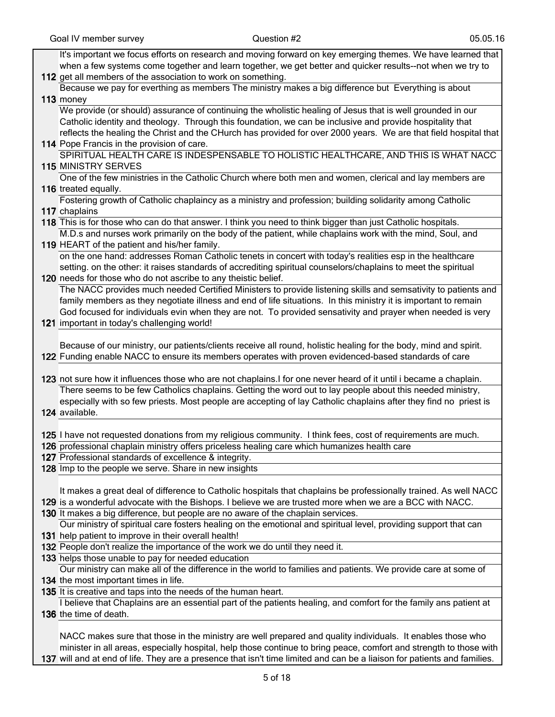| It's important we focus efforts on research and moving forward on key emerging themes. We have learned that        |
|--------------------------------------------------------------------------------------------------------------------|
| when a few systems come together and learn together, we get better and quicker results--not when we try to         |
| 112 get all members of the association to work on something.                                                       |
| Because we pay for everthing as members The ministry makes a big difference but Everything is about                |
| 113 money                                                                                                          |
| We provide (or should) assurance of continuing the wholistic healing of Jesus that is well grounded in our         |
| Catholic identity and theology. Through this foundation, we can be inclusive and provide hospitality that          |
| reflects the healing the Christ and the CHurch has provided for over 2000 years. We are that field hospital that   |
| 114 Pope Francis in the provision of care.                                                                         |
| SPIRITUAL HEALTH CARE IS INDESPENSABLE TO HOLISTIC HEALTHCARE, AND THIS IS WHAT NACC                               |
| <b>115 MINISTRY SERVES</b>                                                                                         |
| One of the few ministries in the Catholic Church where both men and women, clerical and lay members are            |
| 116 treated equally.                                                                                               |
| Fostering growth of Catholic chaplaincy as a ministry and profession; building solidarity among Catholic           |
| 117 chaplains                                                                                                      |
| 118 This is for those who can do that answer. I think you need to think bigger than just Catholic hospitals.       |
| M.D.s and nurses work primarily on the body of the patient, while chaplains work with the mind, Soul, and          |
| 119 HEART of the patient and his/her family.                                                                       |
| on the one hand: addresses Roman Catholic tenets in concert with today's realities esp in the healthcare           |
| setting. on the other: it raises standards of accrediting spiritual counselors/chaplains to meet the spiritual     |
| 120 needs for those who do not ascribe to any theistic belief.                                                     |
| The NACC provides much needed Certified Ministers to provide listening skills and semsativity to patients and      |
| family members as they negotiate illness and end of life situations. In this ministry it is important to remain    |
| God focused for individuals evin when they are not. To provided sensativity and prayer when needed is very         |
| 121 important in today's challenging world!                                                                        |
|                                                                                                                    |
| Because of our ministry, our patients/clients receive all round, holistic healing for the body, mind and spirit.   |
| 122 Funding enable NACC to ensure its members operates with proven evidenced-based standards of care               |
|                                                                                                                    |
| 123 not sure how it influences those who are not chaplains. I for one never heard of it until i became a chaplain. |
| There seems to be few Catholics chaplains. Getting the word out to lay people about this needed ministry,          |
| especially with so few priests. Most people are accepting of lay Catholic chaplains after they find no priest is   |
| 124 available.                                                                                                     |
| 125 I have not requested donations from my religious community. I think fees, cost of requirements are much.       |
| 126 professional chaplain ministry offers priceless healing care which humanizes health care                       |
| 127 Professional standards of excellence & integrity.                                                              |
| 128 Imp to the people we serve. Share in new insights                                                              |
|                                                                                                                    |
| It makes a great deal of difference to Catholic hospitals that chaplains be professionally trained. As well NACC   |
| 129 is a wonderful advocate with the Bishops. I believe we are trusted more when we are a BCC with NACC.           |
| 130 It makes a big difference, but people are no aware of the chaplain services.                                   |
| Our ministry of spiritual care fosters healing on the emotional and spiritual level, providing support that can    |
| 131 help patient to improve in their overall health!                                                               |
| 132 People don't realize the importance of the work we do until they need it.                                      |
| 133 helps those unable to pay for needed education                                                                 |
| Our ministry can make all of the difference in the world to families and patients. We provide care at some of      |
| 134 the most important times in life.                                                                              |
| 135 It is creative and taps into the needs of the human heart.                                                     |
| I believe that Chaplains are an essential part of the patients healing, and comfort for the family ans patient at  |
| 136 the time of death.                                                                                             |
|                                                                                                                    |
| NACC makes sure that those in the ministry are well prepared and quality individuals. It enables those who         |
| minister in all areas, especially hospital, help those continue to bring peace, comfort and strength to those with |

137 will and at end of life. They are a presence that isn't time limited and can be a liaison for patients and families.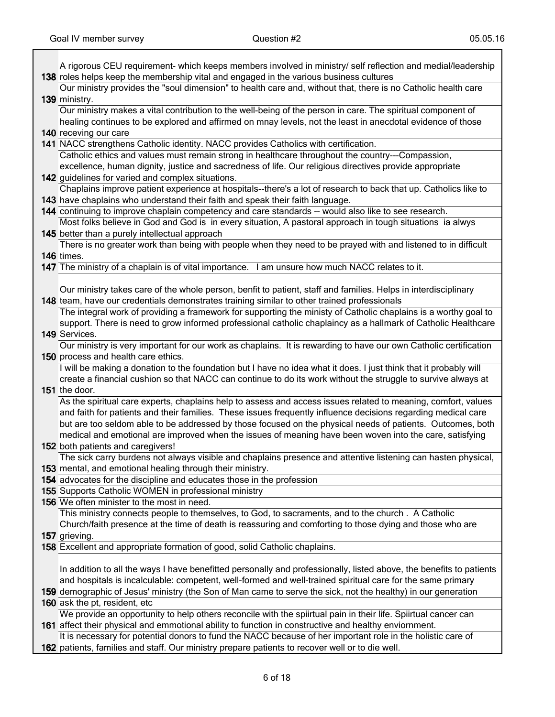| A rigorous CEU requirement- which keeps members involved in ministry/ self reflection and medial/leadership         |
|---------------------------------------------------------------------------------------------------------------------|
| 138 roles helps keep the membership vital and engaged in the various business cultures                              |
| Our ministry provides the "soul dimension" to health care and, without that, there is no Catholic health care       |
| 139 ministry.                                                                                                       |
| Our ministry makes a vital contribution to the well-being of the person in care. The spiritual component of         |
| healing continues to be explored and affirmed on mnay levels, not the least in anecdotal evidence of those          |
| 140 receving our care                                                                                               |
| 141 NACC strengthens Catholic identity. NACC provides Catholics with certification.                                 |
| Catholic ethics and values must remain strong in healthcare throughout the country---Compassion,                    |
| excellence, human dignity, justice and sacredness of life. Our religious directives provide appropriate             |
| 142 guidelines for varied and complex situations.                                                                   |
| Chaplains improve patient experience at hospitals--there's a lot of research to back that up. Catholics like to     |
| 143 have chaplains who understand their faith and speak their faith language.                                       |
| 144 continuing to improve chaplain competency and care standards -- would also like to see research.                |
| Most folks believe in God and God is in every situation, A pastoral approach in tough situations ia alwys           |
| 145 better than a purely intellectual approach                                                                      |
| There is no greater work than being with people when they need to be prayed with and listened to in difficult       |
| 146 times.                                                                                                          |
| 147 The ministry of a chaplain is of vital importance. I am unsure how much NACC relates to it.                     |
|                                                                                                                     |
| Our ministry takes care of the whole person, benfit to patient, staff and families. Helps in interdisciplinary      |
| 148 team, have our credentials demonstrates training similar to other trained professionals                         |
| The integral work of providing a framework for supporting the ministy of Catholic chaplains is a worthy goal to     |
| support. There is need to grow informed professional catholic chaplaincy as a hallmark of Catholic Healthcare       |
| 149 Services.                                                                                                       |
| Our ministry is very important for our work as chaplains. It is rewarding to have our own Catholic certification    |
| 150 process and health care ethics.                                                                                 |
| I will be making a donation to the foundation but I have no idea what it does. I just think that it probably will   |
| create a financial cushion so that NACC can continue to do its work without the struggle to survive always at       |
| 151 the door.                                                                                                       |
| As the spiritual care experts, chaplains help to assess and access issues related to meaning, comfort, values       |
| and faith for patients and their families. These issues frequently influence decisions regarding medical care       |
| but are too seldom able to be addressed by those focused on the physical needs of patients. Outcomes, both          |
| medical and emotional are improved when the issues of meaning have been woven into the care, satisfying             |
| 152 both patients and caregivers!                                                                                   |
| The sick carry burdens not always visible and chaplains presence and attentive listening can hasten physical,       |
| 153 mental, and emotional healing through their ministry.                                                           |
| 154 advocates for the discipline and educates those in the profession                                               |
| 155 Supports Catholic WOMEN in professional ministry                                                                |
| 156 We often minister to the most in need.                                                                          |
| This ministry connects people to themselves, to God, to sacraments, and to the church . A Catholic                  |
| Church/faith presence at the time of death is reassuring and comforting to those dying and those who are            |
| 157 grieving.                                                                                                       |
| 158 Excellent and appropriate formation of good, solid Catholic chaplains.                                          |
|                                                                                                                     |
| In addition to all the ways I have benefitted personally and professionally, listed above, the benefits to patients |
| and hospitals is incalculable: competent, well-formed and well-trained spiritual care for the same primary          |
| 159 demographic of Jesus' ministry (the Son of Man came to serve the sick, not the healthy) in our generation       |
| 160 ask the pt, resident, etc                                                                                       |
| We provide an opportunity to help others reconcile with the spiirtual pain in their life. Spiirtual cancer can      |
| 161 affect their physical and emmotional ability to function in constructive and healthy enviornment.               |
| It is necessary for potential donors to fund the NACC because of her important role in the holistic care of         |
| 162 patients, families and staff. Our ministry prepare patients to recover well or to die well.                     |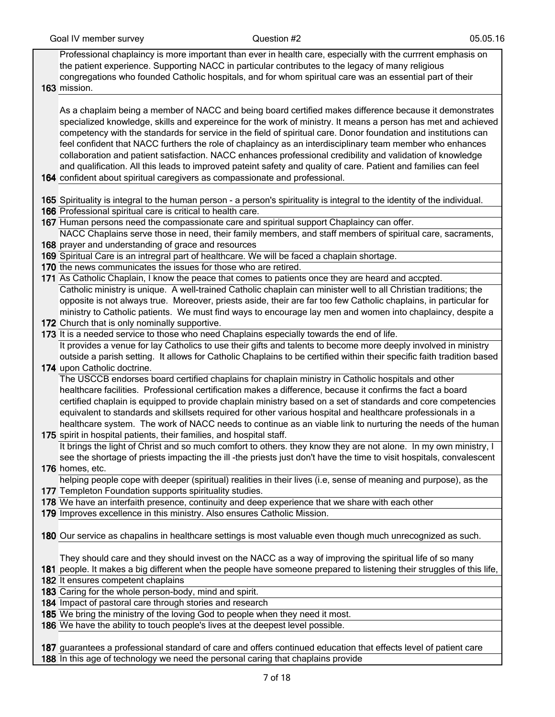Professional chaplaincy is more important than ever in health care, especially with the currrent emphasis on the patient experience. Supporting NACC in particular contributes to the legacy of many religious congregations who founded Catholic hospitals, and for whom spiritual care was an essential part of their

163 mission.

As a chaplaim being a member of NACC and being board certified makes difference because it demonstrates specialized knowledge, skills and expereince for the work of ministry. It means a person has met and achieved competency with the standards for service in the field of spiritual care. Donor foundation and institutions can feel confident that NACC furthers the role of chaplaincy as an interdisciplinary team member who enhances collaboration and patient satisfaction. NACC enhances professional credibility and validation of knowledge and qualification. All this leads to improved pateint safety and quality of care. Patient and families can feel

- 164 confident about spiritual caregivers as compassionate and professional.
- 165 Spirituality is integral to the human person a person's spirituality is integral to the identity of the individual.
- 166 Professional spiritual care is critical to health care.
- 167 Human persons need the compassionate care and spiritual support Chaplaincy can offer.

168 prayer and understanding of grace and resources NACC Chaplains serve those in need, their family members, and staff members of spiritual care, sacraments,

- 169 Spiritual Care is an intregral part of healthcare. We will be faced a chaplain shortage.
- 170 the news communicates the issues for those who are retired.

171 As Catholic Chaplain, I know the peace that comes to patients once they are heard and accpted. Catholic ministry is unique. A well-trained Catholic chaplain can minister well to all Christian traditions; the opposite is not always true. Moreover, priests aside, their are far too few Catholic chaplains, in particular for ministry to Catholic patients. We must find ways to encourage lay men and women into chaplaincy, despite a

172 Church that is only nominally supportive.

173 It is a needed service to those who need Chaplains especially towards the end of life. It provides a venue for lay Catholics to use their gifts and talents to become more deeply involved in ministry outside a parish setting. It allows for Catholic Chaplains to be certified within their specific faith tradition based

174 upon Catholic doctrine.

The USCCB endorses board certified chaplains for chaplain ministry in Catholic hospitals and other healthcare facilities. Professional certification makes a difference, because it confirms the fact a board certified chaplain is equipped to provide chaplain ministry based on a set of standards and core competencies equivalent to standards and skillsets required for other various hospital and healthcare professionals in a healthcare system. The work of NACC needs to continue as an viable link to nurturing the needs of the human

- 175 spirit in hospital patients, their families, and hospital staff. It brings the light of Christ and so much comfort to others. they know they are not alone. In my own ministry, I see the shortage of priests impacting the ill -the priests just don't have the time to visit hospitals, convalescent
- 176 homes, etc. helping people cope with deeper (spiritual) realities in their lives (i.e, sense of meaning and purpose), as the
- 177 Templeton Foundation supports spirituality studies.
- 178 We have an interfaith presence, continuity and deep experience that we share with each other
- 179 Improves excellence in this ministry. Also ensures Catholic Mission.

180 Our service as chapalins in healthcare settings is most valuable even though much unrecognized as such.

They should care and they should invest on the NACC as a way of improving the spiritual life of so many

181 people. It makes a big different when the people have someone prepared to listening their struggles of this life, 182 It ensures competent chaplains

- 183 Caring for the whole person-body, mind and spirit.
- 184 Impact of pastoral care through stories and research
- 185 We bring the ministry of the loving God to people when they need it most.
- 186 We have the ability to touch people's lives at the deepest level possible.

187 guarantees a professional standard of care and offers continued education that effects level of patient care 188 In this age of technology we need the personal caring that chaplains provide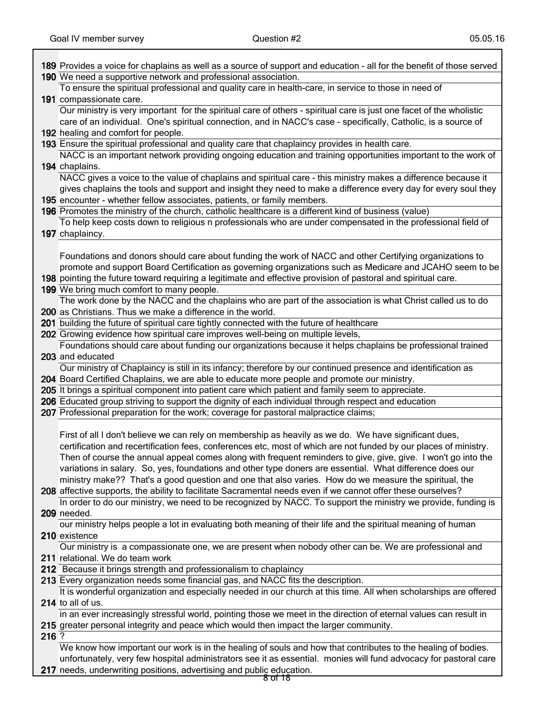|       | 189 Provides a voice for chaplains as well as a source of support and education - all for the benefit of those served                                                                                                                 |
|-------|---------------------------------------------------------------------------------------------------------------------------------------------------------------------------------------------------------------------------------------|
|       | 190 We need a supportive network and professional association.                                                                                                                                                                        |
|       | To ensure the spiritual professional and quality care in health-care, in service to those in need of                                                                                                                                  |
|       | 191 compassionate care.                                                                                                                                                                                                               |
|       | Our ministry is very important for the spiritual care of others - spiritual care is just one facet of the wholistic<br>care of an individual. One's spiritual connection, and in NACC's case - specifically, Catholic, is a source of |
|       | 192 healing and comfort for people.                                                                                                                                                                                                   |
|       | 193 Ensure the spiritual professional and quality care that chaplaincy provides in health care.                                                                                                                                       |
|       | NACC is an important network providing ongoing education and training opportunities important to the work of                                                                                                                          |
|       | 194 chaplains.                                                                                                                                                                                                                        |
|       | NACC gives a voice to the value of chaplains and spiritual care - this ministry makes a difference because it                                                                                                                         |
|       | gives chaplains the tools and support and insight they need to make a difference every day for every soul they                                                                                                                        |
|       | 195 encounter - whether fellow associates, patients, or family members.                                                                                                                                                               |
|       | 196 Promotes the ministry of the church, catholic healthcare is a different kind of business (value)                                                                                                                                  |
|       | To help keep costs down to religious n professionals who are under compensated in the professional field of                                                                                                                           |
|       | 197 chaplaincy.                                                                                                                                                                                                                       |
|       |                                                                                                                                                                                                                                       |
|       | Foundations and donors should care about funding the work of NACC and other Certifying organizations to                                                                                                                               |
|       | promote and support Board Certification as governing organizations such as Medicare and JCAHO seem to be                                                                                                                              |
|       | 198 pointing the future toward requiring a legitimate and effective provision of pastoral and spiritual care.                                                                                                                         |
|       | 199 We bring much comfort to many people.                                                                                                                                                                                             |
|       | The work done by the NACC and the chaplains who are part of the association is what Christ called us to do                                                                                                                            |
|       | 200 as Christians. Thus we make a difference in the world.                                                                                                                                                                            |
|       | 201 building the future of spiritual care tightly connected with the future of healthcare                                                                                                                                             |
|       | 202 Growing evidence how spiritual care improves well-being on multiple levels,                                                                                                                                                       |
|       | Foundations should care about funding our organizations because it helps chaplains be professional trained                                                                                                                            |
|       | 203 and educated                                                                                                                                                                                                                      |
|       |                                                                                                                                                                                                                                       |
|       | Our ministry of Chaplaincy is still in its infancy; therefore by our continued presence and identification as                                                                                                                         |
|       | 204 Board Certified Chaplains, we are able to educate more people and promote our ministry.                                                                                                                                           |
|       | 205 It brings a spiritual component into patient care which patient and family seem to appreciate.                                                                                                                                    |
|       | 206 Educated group striving to support the dignity of each individual through respect and education                                                                                                                                   |
|       | 207 Professional preparation for the work; coverage for pastoral malpractice claims;                                                                                                                                                  |
|       |                                                                                                                                                                                                                                       |
|       | First of all I don't believe we can rely on membership as heavily as we do. We have significant dues,                                                                                                                                 |
|       | certification and recertification fees, conferences etc, most of which are not funded by our places of ministry.                                                                                                                      |
|       | Then of course the annual appeal comes along with frequent reminders to give, give, give. I won't go into the<br>variations in salary. So, yes, foundations and other type doners are essential. What difference does our             |
|       | ministry make?? That's a good question and one that also varies. How do we measure the spiritual, the                                                                                                                                 |
|       | 208 affective supports, the ability to facilitate Sacramental needs even if we cannot offer these ourselves?                                                                                                                          |
|       | In order to do our ministry, we need to be recognized by NACC. To support the ministry we provide, funding is                                                                                                                         |
|       | 209 needed.                                                                                                                                                                                                                           |
|       | our ministry helps people a lot in evaluating both meaning of their life and the spiritual meaning of human                                                                                                                           |
|       | 210 existence                                                                                                                                                                                                                         |
|       | Our ministry is a compassionate one, we are present when nobody other can be. We are professional and                                                                                                                                 |
|       | 211 relational. We do team work                                                                                                                                                                                                       |
|       | 212 Because it brings strength and professionalism to chaplaincy                                                                                                                                                                      |
|       | 213 Every organization needs some financial gas, and NACC fits the description.                                                                                                                                                       |
|       | It is wonderful organization and especially needed in our church at this time. All when scholarships are offered                                                                                                                      |
|       | 214 to all of us.                                                                                                                                                                                                                     |
|       | in an ever increasingly stressful world, pointing those we meet in the direction of eternal values can result in                                                                                                                      |
| 216 ? | 215 greater personal integrity and peace which would then impact the larger community.                                                                                                                                                |
|       | We know how important our work is in the healing of souls and how that contributes to the healing of bodies.                                                                                                                          |
|       | unfortunately, very few hospital administrators see it as essential. monies will fund advocacy for pastoral care                                                                                                                      |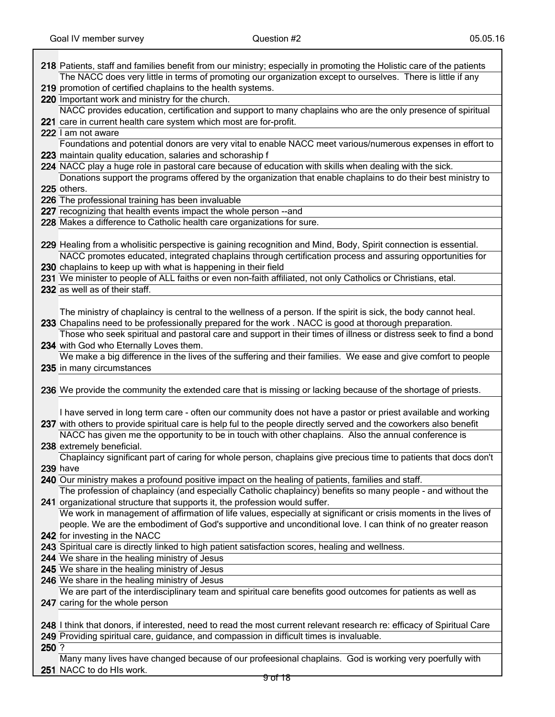|       | 218 Patients, staff and families benefit from our ministry; especially in promoting the Holistic care of the patients  |
|-------|------------------------------------------------------------------------------------------------------------------------|
|       | The NACC does very little in terms of promoting our organization except to ourselves. There is little if any           |
|       | 219 promotion of certified chaplains to the health systems.                                                            |
|       | 220 Important work and ministry for the church.                                                                        |
|       | NACC provides education, certification and support to many chaplains who are the only presence of spiritual            |
|       | 221 care in current health care system which most are for-profit.                                                      |
|       | 222 I am not aware                                                                                                     |
|       | Foundations and potential donors are very vital to enable NACC meet various/numerous expenses in effort to             |
|       | 223 maintain quality education, salaries and schoraship f                                                              |
|       | 224 NACC play a huge role in pastoral care because of education with skills when dealing with the sick.                |
|       | Donations support the programs offered by the organization that enable chaplains to do their best ministry to          |
|       | 225 others.                                                                                                            |
|       | 226 The professional training has been invaluable                                                                      |
|       | 227 recognizing that health events impact the whole person --and                                                       |
|       | 228 Makes a difference to Catholic health care organizations for sure.                                                 |
|       |                                                                                                                        |
|       | 229 Healing from a wholisitic perspective is gaining recognition and Mind, Body, Spirit connection is essential.       |
|       | NACC promotes educated, integrated chaplains through certification process and assuring opportunities for              |
|       | 230 chaplains to keep up with what is happening in their field                                                         |
|       | 231 We minister to people of ALL faiths or even non-faith affiliated, not only Catholics or Christians, etal.          |
|       | 232 as well as of their staff.                                                                                         |
|       |                                                                                                                        |
|       | The ministry of chaplaincy is central to the wellness of a person. If the spirit is sick, the body cannot heal.        |
|       | 233 Chapalins need to be professionally prepared for the work. NACC is good at thorough preparation.                   |
|       | Those who seek spiritual and pastoral care and support in their times of illness or distress seek to find a bond       |
|       | 234 with God who Eternally Loves them.                                                                                 |
|       | We make a big difference in the lives of the suffering and their families. We ease and give comfort to people          |
|       | 235 in many circumstances                                                                                              |
|       |                                                                                                                        |
|       | 236 We provide the community the extended care that is missing or lacking because of the shortage of priests.          |
|       |                                                                                                                        |
|       | I have served in long term care - often our community does not have a pastor or priest available and working           |
|       | 237 with others to provide spiritual care is help ful to the people directly served and the coworkers also benefit     |
|       | NACC has given me the opportunity to be in touch with other chaplains. Also the annual conference is                   |
|       | 238 extremely beneficial.                                                                                              |
|       | Chaplaincy significant part of caring for whole person, chaplains give precious time to patients that docs don't       |
|       | <b>239</b> have                                                                                                        |
|       | 240 Our ministry makes a profound positive impact on the healing of patients, families and staff.                      |
|       | The profession of chaplaincy (and especially Catholic chaplaincy) benefits so many people - and without the            |
|       | 241 organizational structure that supports it, the profession would suffer.                                            |
|       | We work in management of affirmation of life values, especially at significant or crisis moments in the lives of       |
|       | people. We are the embodiment of God's supportive and unconditional love. I can think of no greater reason             |
|       | 242 for investing in the NACC                                                                                          |
|       | 243 Spiritual care is directly linked to high patient satisfaction scores, healing and wellness.                       |
|       | 244 We share in the healing ministry of Jesus                                                                          |
|       | 245 We share in the healing ministry of Jesus                                                                          |
|       | 246 We share in the healing ministry of Jesus                                                                          |
|       | We are part of the interdisciplinary team and spiritual care benefits good outcomes for patients as well as            |
|       | 247 caring for the whole person                                                                                        |
|       |                                                                                                                        |
|       | 248 I think that donors, if interested, need to read the most current relevant research re: efficacy of Spiritual Care |
|       | 249 Providing spiritual care, guidance, and compassion in difficult times is invaluable.                               |
| 250 ? |                                                                                                                        |
|       | Many many lives have changed because of our profeesional chaplains. God is working very poerfully with                 |
|       | 251 NACC to do HIs work.                                                                                               |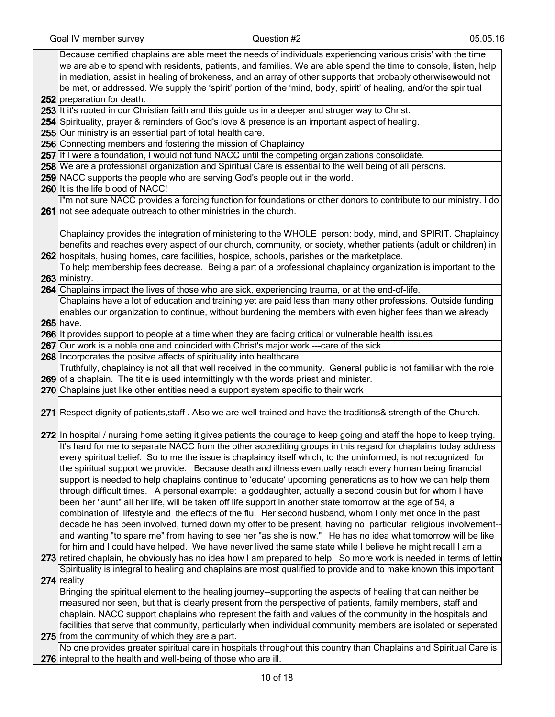| Because certified chaplains are able meet the needs of individuals experiencing various crisis' with the time         |
|-----------------------------------------------------------------------------------------------------------------------|
| we are able to spend with residents, patients, and families. We are able spend the time to console, listen, help      |
| in mediation, assist in healing of brokeness, and an array of other supports that probably otherwisewould not         |
| be met, or addressed. We supply the 'spirit' portion of the 'mind, body, spirit' of healing, and/or the spiritual     |
| 252 preparation for death.                                                                                            |
| 253 It it's rooted in our Christian faith and this guide us in a deeper and stroger way to Christ.                    |
| 254 Spirituality, prayer & reminders of God's love & presence is an important aspect of healing.                      |
| 255 Our ministry is an essential part of total health care.                                                           |
| 256 Connecting members and fostering the mission of Chaplaincy                                                        |
| 257 If I were a foundation, I would not fund NACC until the competing organizations consolidate.                      |
| 258 We are a professional organization and Spiritual Care is essential to the well being of all persons.              |
| 259 NACC supports the people who are serving God's people out in the world.                                           |
| 260 It is the life blood of NACC!                                                                                     |
| I"m not sure NACC provides a forcing function for foundations or other donors to contribute to our ministry. I do     |
| 261 not see adequate outreach to other ministries in the church.                                                      |
|                                                                                                                       |
| Chaplaincy provides the integration of ministering to the WHOLE person: body, mind, and SPIRIT. Chaplaincy            |
| benefits and reaches every aspect of our church, community, or society, whether patients (adult or children) in       |
| 262 hospitals, husing homes, care facilities, hospice, schools, parishes or the marketplace.                          |
| To help membership fees decrease. Being a part of a professional chaplaincy organization is important to the          |
| 263 ministry.                                                                                                         |
| 264 Chaplains impact the lives of those who are sick, experiencing trauma, or at the end-of-life.                     |
| Chaplains have a lot of education and training yet are paid less than many other professions. Outside funding         |
| enables our organization to continue, without burdening the members with even higher fees than we already             |
| 265 have.                                                                                                             |
| 266 It provides support to people at a time when they are facing critical or vulnerable health issues                 |
| 267 Our work is a noble one and coincided with Christ's major work ---care of the sick.                               |
| 268 Incorporates the positve affects of spirituality into healthcare.                                                 |
| Truthfully, chaplaincy is not all that well received in the community. General public is not familiar with the role   |
| 269 of a chaplain. The title is used intermittingly with the words priest and minister.                               |
| 270 Chaplains just like other entities need a support system specific to their work                                   |
|                                                                                                                       |
| 271 Respect dignity of patients, staff . Also we are well trained and have the traditions& strength of the Church.    |
|                                                                                                                       |
| 272 In hospital / nursing home setting it gives patients the courage to keep going and staff the hope to keep trying. |
| It's hard for me to separate NACC from the other accrediting groups in this regard for chaplains today address        |
| every spiritual belief. So to me the issue is chaplaincy itself which, to the uninformed, is not recognized for       |
| the spiritual support we provide. Because death and illness eventually reach every human being financial              |
| support is needed to help chaplains continue to 'educate' upcoming generations as to how we can help them             |
| through difficult times. A personal example: a goddaughter, actually a second cousin but for whom I have              |
| been her "aunt" all her life, will be taken off life support in another state tomorrow at the age of 54, a            |
| combination of lifestyle and the effects of the flu. Her second husband, whom I only met once in the past             |
| decade he has been involved, turned down my offer to be present, having no particular religious involvement--         |
| and wanting "to spare me" from having to see her "as she is now." He has no idea what tomorrow will be like           |
| for him and I could have helped. We have never lived the same state while I believe he might recall I am a            |
| 273 retired chaplain, he obviously has no idea how I am prepared to help. So more work is needed in terms of lettin   |
| Spirituality is integral to healing and chaplains are most qualified to provide and to make known this important      |
| 274 reality                                                                                                           |
| Bringing the spiritual element to the healing journey--supporting the aspects of healing that can neither be          |
| measured nor seen, but that is clearly present from the perspective of patients, family members, staff and            |
| chaplain. NACC support chaplains who represent the faith and values of the community in the hospitals and             |
| facilities that serve that community, particularly when individual community members are isolated or seperated        |
| 275 from the community of which they are a part.                                                                      |
| No one provides greater spiritual care in hospitals throughout this country than Chaplains and Spiritual Care is      |
| 276 integral to the health and well-being of those who are ill.                                                       |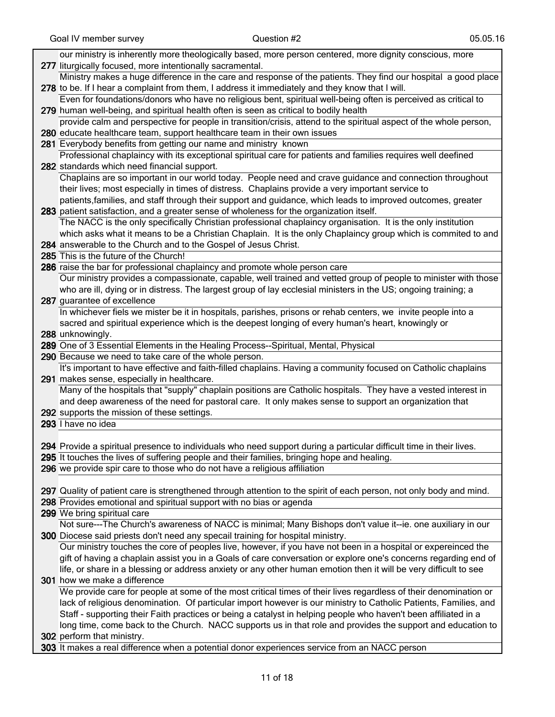| our ministry is inherently more theologically based, more person centered, more dignity conscious, more             |
|---------------------------------------------------------------------------------------------------------------------|
| 277 liturgically focused, more intentionally sacramental.                                                           |
| Ministry makes a huge difference in the care and response of the patients. They find our hospital a good place      |
| 278 to be. If I hear a complaint from them, I address it immediately and they know that I will.                     |
| Even for foundations/donors who have no religious bent, spiritual well-being often is perceived as critical to      |
| 279 human well-being, and spiritual health often is seen as critical to bodily health                               |
| provide calm and perspective for people in transition/crisis, attend to the spiritual aspect of the whole person,   |
| 280 educate healthcare team, support healthcare team in their own issues                                            |
| 281 Everybody benefits from getting our name and ministry known                                                     |
| Professional chaplaincy with its exceptional spiritual care for patients and families requires well deefined        |
| 282 standards which need financial support.                                                                         |
| Chaplains are so important in our world today. People need and crave guidance and connection throughout             |
| their lives; most especially in times of distress. Chaplains provide a very important service to                    |
| patients, families, and staff through their support and guidance, which leads to improved outcomes, greater         |
| 283 patient satisfaction, and a greater sense of wholeness for the organization itself.                             |
| The NACC is the only specifically Christian professional chaplaincy organisation. It is the only institution        |
| which asks what it means to be a Christian Chaplain. It is the only Chaplaincy group which is commited to and       |
| 284 answerable to the Church and to the Gospel of Jesus Christ.                                                     |
| 285 This is the future of the Church!                                                                               |
| 286 raise the bar for professional chaplaincy and promote whole person care                                         |
| Our ministry provides a compassionate, capable, well trained and vetted group of people to minister with those      |
| who are ill, dying or in distress. The largest group of lay ecclesial ministers in the US; ongoing training; a      |
| 287 guarantee of excellence                                                                                         |
| In whichever fiels we mister be it in hospitals, parishes, prisons or rehab centers, we invite people into a        |
| sacred and spiritual experience which is the deepest longing of every human's heart, knowingly or                   |
| 288 unknowingly.                                                                                                    |
| 289 One of 3 Essential Elements in the Healing Process--Spiritual, Mental, Physical                                 |
| 290 Because we need to take care of the whole person.                                                               |
| It's important to have effective and faith-filled chaplains. Having a community focused on Catholic chaplains       |
| 291 makes sense, especially in healthcare.                                                                          |
| Many of the hospitals that "supply" chaplain positions are Catholic hospitals. They have a vested interest in       |
| and deep awareness of the need for pastoral care. It only makes sense to support an organization that               |
| 292 supports the mission of these settings.                                                                         |
| 293 I have no idea                                                                                                  |
| 294 Provide a spiritual presence to individuals who need support during a particular difficult time in their lives. |
| 295 It touches the lives of suffering people and their families, bringing hope and healing.                         |
| 296 we provide spir care to those who do not have a religious affiliation                                           |
|                                                                                                                     |
| 297 Quality of patient care is strengthened through attention to the spirit of each person, not only body and mind. |
| 298 Provides emotional and spiritual support with no bias or agenda                                                 |
| 299 We bring spiritual care                                                                                         |
| Not sure---The Church's awareness of NACC is minimal; Many Bishops don't value it--ie. one auxiliary in our         |
| 300 Diocese said priests don't need any specall training for hospital ministry.                                     |
| Our ministry touches the core of peoples live, however, if you have not been in a hospital or expereinced the       |
| gift of having a chaplain assist you in a Goals of care conversation or explore one's concerns regarding end of     |
| life, or share in a blessing or address anxiety or any other human emotion then it will be very difficult to see    |
| 301 how we make a difference                                                                                        |
| We provide care for people at some of the most critical times of their lives regardless of their denomination or    |
| lack of religious denomination. Of particular import however is our ministry to Catholic Patients, Families, and    |
| Staff - supporting their Faith practices or being a catalyst in helping people who haven't been affiliated in a     |
| long time, come back to the Church. NACC supports us in that role and provides the support and education to         |
| 302 perform that ministry.                                                                                          |
| 303 It makes a real difference when a potential donor experiences service from an NACC person                       |

303 It makes a real difference when a potential donor experiences service from an NACC person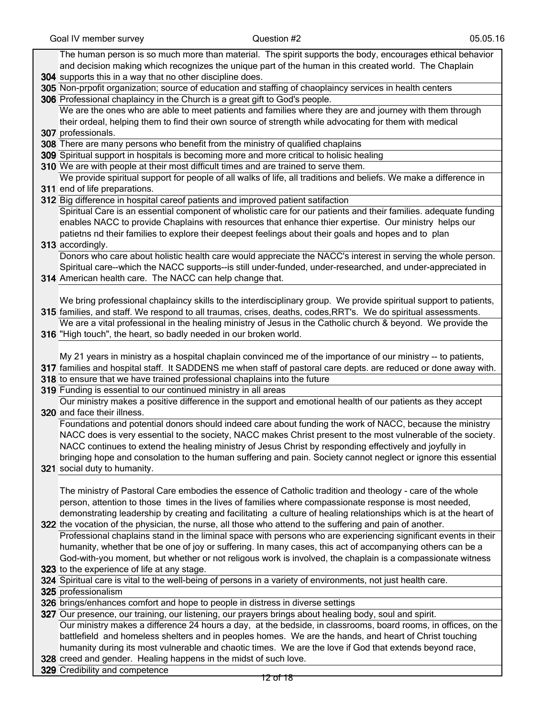| Question #2<br>05.05.16<br>Goal IV member survey                                                                                                                                                                                                                                                                                                                                                                                                                                      |
|---------------------------------------------------------------------------------------------------------------------------------------------------------------------------------------------------------------------------------------------------------------------------------------------------------------------------------------------------------------------------------------------------------------------------------------------------------------------------------------|
| The human person is so much more than material. The spirit supports the body, encourages ethical behavior<br>and decision making which recognizes the unique part of the human in this created world. The Chaplain<br>304 supports this in a way that no other discipline does.                                                                                                                                                                                                       |
| 305 Non-prpofit organization; source of education and staffing of chaoplaincy services in health centers                                                                                                                                                                                                                                                                                                                                                                              |
| 306 Professional chaplaincy in the Church is a great gift to God's people.                                                                                                                                                                                                                                                                                                                                                                                                            |
| We are the ones who are able to meet patients and families where they are and journey with them through<br>their ordeal, helping them to find their own source of strength while advocating for them with medical<br>307 professionals.                                                                                                                                                                                                                                               |
| 308 There are many persons who benefit from the ministry of qualified chaplains                                                                                                                                                                                                                                                                                                                                                                                                       |
| 309 Spiritual support in hospitals is becoming more and more critical to holisic healing                                                                                                                                                                                                                                                                                                                                                                                              |
| 310 We are with people at their most difficult times and are trained to serve them.                                                                                                                                                                                                                                                                                                                                                                                                   |
| We provide spiritual support for people of all walks of life, all traditions and beliefs. We make a difference in                                                                                                                                                                                                                                                                                                                                                                     |
| 311 end of life preparations.                                                                                                                                                                                                                                                                                                                                                                                                                                                         |
| 312 Big difference in hospital careof patients and improved patient satifaction                                                                                                                                                                                                                                                                                                                                                                                                       |
| Spiritual Care is an essential component of wholistic care for our patients and their families. adequate funding<br>enables NACC to provide Chaplains with resources that enhance thier expertise. Our ministry helps our<br>patietns nd their families to explore their deepest feelings about their goals and hopes and to plan                                                                                                                                                     |
| 313 accordingly.                                                                                                                                                                                                                                                                                                                                                                                                                                                                      |
| Donors who care about holistic health care would appreciate the NACC's interest in serving the whole person.                                                                                                                                                                                                                                                                                                                                                                          |
| Spiritual care--which the NACC supports--is still under-funded, under-researched, and under-appreciated in                                                                                                                                                                                                                                                                                                                                                                            |
| 314 American health care. The NACC can help change that.                                                                                                                                                                                                                                                                                                                                                                                                                              |
|                                                                                                                                                                                                                                                                                                                                                                                                                                                                                       |
| We bring professional chaplaincy skills to the interdisciplinary group. We provide spiritual support to patients,<br>315 families, and staff. We respond to all traumas, crises, deaths, codes, RRT's. We do spiritual assessments.                                                                                                                                                                                                                                                   |
| We are a vital professional in the healing ministry of Jesus in the Catholic church & beyond. We provide the                                                                                                                                                                                                                                                                                                                                                                          |
| 316 "High touch", the heart, so badly needed in our broken world.                                                                                                                                                                                                                                                                                                                                                                                                                     |
| My 21 years in ministry as a hospital chaplain convinced me of the importance of our ministry -- to patients,                                                                                                                                                                                                                                                                                                                                                                         |
| 317 families and hospital staff. It SADDENS me when staff of pastoral care depts. are reduced or done away with.                                                                                                                                                                                                                                                                                                                                                                      |
| 318 to ensure that we have trained professional chaplains into the future                                                                                                                                                                                                                                                                                                                                                                                                             |
| 319 Funding is essential to our continued ministry in all areas                                                                                                                                                                                                                                                                                                                                                                                                                       |
| Our ministry makes a positive difference in the support and emotional health of our patients as they accept                                                                                                                                                                                                                                                                                                                                                                           |
| 320 and face their illness.                                                                                                                                                                                                                                                                                                                                                                                                                                                           |
| Foundations and potential donors should indeed care about funding the work of NACC, because the ministry<br>NACC does is very essential to the society, NACC makes Christ present to the most vulnerable of the society.<br>NACC continues to extend the healing ministry of Jesus Christ by responding effectively and joyfully in<br>bringing hope and consolation to the human suffering and pain. Society cannot neglect or ignore this essential<br>321 social duty to humanity. |
|                                                                                                                                                                                                                                                                                                                                                                                                                                                                                       |
| The ministry of Pastoral Care embodies the essence of Catholic tradition and theology - care of the whole<br>person, attention to those times in the lives of families where compassionate response is most needed,<br>demonstrating leadership by creating and facilitating a culture of healing relationships which is at the heart of                                                                                                                                              |
| 322 the vocation of the physician, the nurse, all those who attend to the suffering and pain of another.                                                                                                                                                                                                                                                                                                                                                                              |
| Professional chaplains stand in the liminal space with persons who are experiencing significant events in their                                                                                                                                                                                                                                                                                                                                                                       |
| humanity, whether that be one of joy or suffering. In many cases, this act of accompanying others can be a                                                                                                                                                                                                                                                                                                                                                                            |
| God-with-you moment, but whether or not religous work is involved, the chaplain is a compassionate witness                                                                                                                                                                                                                                                                                                                                                                            |
| 323 to the experience of life at any stage.                                                                                                                                                                                                                                                                                                                                                                                                                                           |
| 324 Spiritual care is vital to the well-being of persons in a variety of environments, not just health care.                                                                                                                                                                                                                                                                                                                                                                          |
| 325 professionalism                                                                                                                                                                                                                                                                                                                                                                                                                                                                   |
| 326 brings/enhances comfort and hope to people in distress in diverse settings                                                                                                                                                                                                                                                                                                                                                                                                        |
| 327 Our presence, our training, our listening, our prayers brings about healing body, soul and spirit.                                                                                                                                                                                                                                                                                                                                                                                |
| Our ministry makes a difference 24 hours a day, at the bedside, in classrooms, board rooms, in offices, on the<br>battlefield and homeless shelters and in peoples homes. We are the hands, and heart of Christ touching                                                                                                                                                                                                                                                              |

- humanity during its most vulnerable and chaotic times. We are the love if God that extends beyond race,
- 328 creed and gender. Healing happens in the midst of such love.

329 Credibility and competence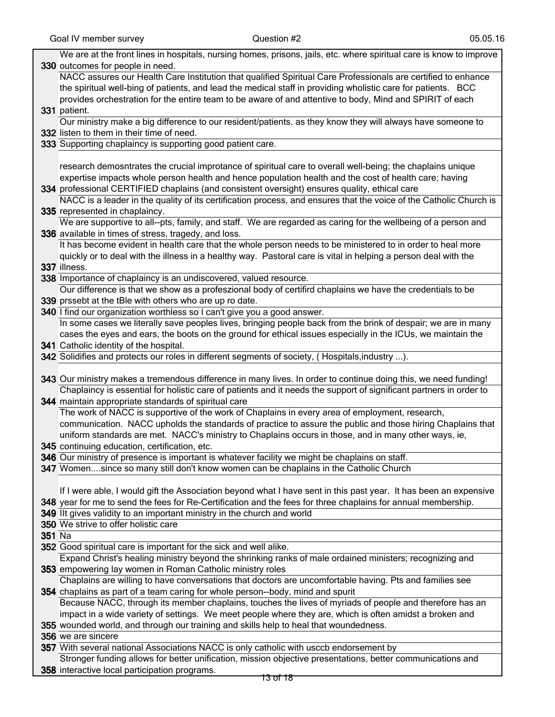|        | We are at the front lines in hospitals, nursing homes, prisons, jails, etc. where spiritual care is know to improve                                         |
|--------|-------------------------------------------------------------------------------------------------------------------------------------------------------------|
|        | 330 outcomes for people in need.                                                                                                                            |
|        | NACC assures our Health Care Institution that qualified Spiritual Care Professionals are certified to enhance                                               |
|        | the spiritual well-bing of patients, and lead the medical staff in providing wholistic care for patients. BCC                                               |
|        | provides orchestration for the entire team to be aware of and attentive to body, Mind and SPIRIT of each                                                    |
|        | 331 patient.                                                                                                                                                |
|        | Our ministry make a big difference to our resident/patients. as they know they will always have someone to                                                  |
|        | 332 listen to them in their time of need.                                                                                                                   |
|        | 333 Supporting chaplaincy is supporting good patient care.                                                                                                  |
|        |                                                                                                                                                             |
|        | research demosntrates the crucial improtance of spiritual care to overall well-being; the chaplains unique                                                  |
|        | expertise impacts whole person health and hence population health and the cost of health care; having                                                       |
|        | 334 professional CERTIFIED chaplains (and consistent oversight) ensures quality, ethical care                                                               |
|        | NACC is a leader in the quality of its certification process, and ensures that the voice of the Catholic Church is                                          |
|        | 335 represented in chaplaincy.                                                                                                                              |
|        | We are supportive to all--pts, family, and staff. We are regarded as caring for the wellbeing of a person and                                               |
|        | 336 available in times of stress, tragedy, and loss.                                                                                                        |
|        | It has become evident in health care that the whole person needs to be ministered to in order to heal more                                                  |
|        | quickly or to deal with the illness in a healthy way. Pastoral care is vital in helping a person deal with the                                              |
|        |                                                                                                                                                             |
|        | 337 illness.                                                                                                                                                |
|        | 338 Importance of chaplaincy is an undiscovered, valued resource.                                                                                           |
|        | Our difference is that we show as a profeszional body of certifird chaplains we have the credentials to be                                                  |
|        | 339 prssebt at the tBle with others who are up ro date.                                                                                                     |
|        | 340 I find our organization worthless so I can't give you a good answer.                                                                                    |
|        | In some cases we literally save peoples lives, bringing people back from the brink of despair; we are in many                                               |
|        | cases the eyes and ears, the boots on the ground for ethical issues especially in the ICUs, we maintain the                                                 |
|        | 341 Catholic identity of the hospital.                                                                                                                      |
|        | 342 Solidifies and protects our roles in different segments of society, (Hospitals, industry ).                                                             |
|        |                                                                                                                                                             |
|        |                                                                                                                                                             |
|        | 343 Our ministry makes a tremendous difference in many lives. In order to continue doing this, we need funding!                                             |
|        | Chaplaincy is essential for holistic care of patients and it needs the support of significant partners in order to                                          |
|        | 344 maintain appropriate standards of spiritual care                                                                                                        |
|        | The work of NACC is supportive of the work of Chaplains in every area of employment, research,                                                              |
|        | communication. NACC upholds the standards of practice to assure the public and those hiring Chaplains that                                                  |
|        | uniform standards are met. NACC's ministry to Chaplains occurs in those, and in many other ways, ie,                                                        |
|        | 345 continuing education, certification, etc.                                                                                                               |
|        | 346 Our ministry of presence is important is whatever facility we might be chaplains on staff.                                                              |
|        | 347 Womensince so many still don't know women can be chaplains in the Catholic Church                                                                       |
|        |                                                                                                                                                             |
|        | If I were able, I would gift the Association beyond what I have sent in this past year. It has been an expensive                                            |
|        | 348 year for me to send the fees for Re-Certification and the fees for three chaplains for annual membership.                                               |
|        | 349 IIt gives validity to an important ministry in the church and world                                                                                     |
|        | 350 We strive to offer holistic care                                                                                                                        |
| 351 Na |                                                                                                                                                             |
|        | 352 Good spiritual care is important for the sick and well alike.                                                                                           |
|        | Expand Christ's healing ministry beyond the shrinking ranks of male ordained ministers; recognizing and                                                     |
|        | 353 empowering lay women in Roman Catholic ministry roles                                                                                                   |
|        | Chaplains are willing to have conversations that doctors are uncomfortable having. Pts and families see                                                     |
|        | 354 chaplains as part of a team caring for whole person--body, mind and spurit                                                                              |
|        | Because NACC, through its member chaplains, touches the lives of myriads of people and therefore has an                                                     |
|        | impact in a wide variety of settings. We meet people where they are, which is often amidst a broken and                                                     |
|        | 355 wounded world, and through our training and skills help to heal that woundedness.                                                                       |
|        | 356 we are sincere                                                                                                                                          |
|        | 357 With several national Associations NACC is only catholic with usccb endorsement by                                                                      |
|        | Stronger funding allows for better unification, mission objective presentations, better communications and<br>358 interactive local participation programs. |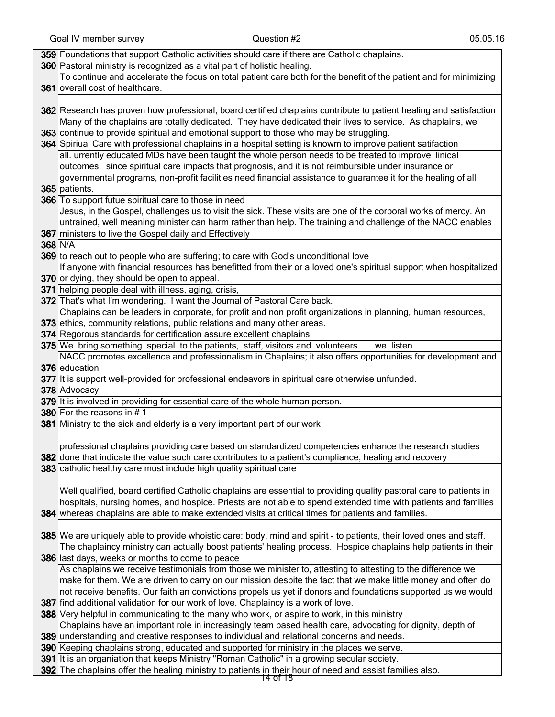|         | 359 Foundations that support Catholic activities should care if there are Catholic chaplains.                       |
|---------|---------------------------------------------------------------------------------------------------------------------|
|         | 360 Pastoral ministry is recognized as a vital part of holistic healing.                                            |
|         | To continue and accelerate the focus on total patient care both for the benefit of the patient and for minimizing   |
|         | 361 overall cost of healthcare.                                                                                     |
|         |                                                                                                                     |
|         | 362 Research has proven how professional, board certified chaplains contribute to patient healing and satisfaction  |
|         | Many of the chaplains are totally dedicated. They have dedicated their lives to service. As chaplains, we           |
|         | 363 continue to provide spiritual and emotional support to those who may be struggling.                             |
|         | 364 Spiriual Care with professional chaplains in a hospital setting is knowm to improve patient satifaction         |
|         | all. urrently educated MDs have been taught the whole person needs to be treated to improve linical                 |
|         | outcomes. since spiritual care impacts that prognosis, and it is not reimbursible under insurance or                |
|         | governmental programs, non-profit facilities need financial assistance to guarantee it for the healing of all       |
|         | 365 patients.                                                                                                       |
|         | 366 To support futue spiritual care to those in need                                                                |
|         | Jesus, in the Gospel, challenges us to visit the sick. These visits are one of the corporal works of mercy. An      |
|         | untrained, well meaning minister can harm rather than help. The training and challenge of the NACC enables          |
|         | 367 ministers to live the Gospel daily and Effectively                                                              |
| 368 N/A |                                                                                                                     |
|         | 369 to reach out to people who are suffering; to care with God's unconditional love                                 |
|         | If anyone with financial resources has benefitted from their or a loved one's spiritual support when hospitalized   |
|         | 370 or dying, they should be open to appeal.                                                                        |
|         | 371 helping people deal with illness, aging, crisis,                                                                |
|         | 372 That's what I'm wondering. I want the Journal of Pastoral Care back.                                            |
|         | Chaplains can be leaders in corporate, for profit and non profit organizations in planning, human resources,        |
|         | 373 ethics, community relations, public relations and many other areas.                                             |
|         | 374 Regorous standards for certification assure excellent chaplains                                                 |
|         | 375 We bring something special to the patients, staff, visitors and volunteerswe listen                             |
|         | NACC promotes excellence and professionalism in Chaplains; it also offers opportunities for development and         |
|         | 376 education                                                                                                       |
|         | 377 It is support well-provided for professional endeavors in spiritual care otherwise unfunded.                    |
|         | 378 Advocacy                                                                                                        |
|         | 379 It is involved in providing for essential care of the whole human person.                                       |
|         | 380 For the reasons in #1                                                                                           |
|         | 381 Ministry to the sick and elderly is a very important part of our work                                           |
|         |                                                                                                                     |
|         | professional chaplains providing care based on standardized competencies enhance the research studies               |
|         | 382 done that indicate the value such care contributes to a patient's compliance, healing and recovery              |
|         | 383 catholic healthy care must include high quality spiritual care                                                  |
|         |                                                                                                                     |
|         | Well qualified, board certified Catholic chaplains are essential to providing quality pastoral care to patients in  |
|         | hospitals, nursing homes, and hospice. Priests are not able to spend extended time with patients and families       |
|         | 384 whereas chaplains are able to make extended visits at critical times for patients and families.                 |
|         | 385 We are uniquely able to provide whoistic care: body, mind and spirit - to patients, their loved ones and staff. |
|         | The chaplaincy ministry can actually boost patients' healing process. Hospice chaplains help patients in their      |
|         | 386 last days, weeks or months to come to peace                                                                     |
|         | As chaplains we receive testimonials from those we minister to, attesting to attesting to the difference we         |
|         | make for them. We are driven to carry on our mission despite the fact that we make little money and often do        |
|         | not receive benefits. Our faith an convictions propels us yet if donors and foundations supported us we would       |
|         | 387 find additional validation for our work of love. Chaplaincy is a work of love.                                  |
|         | 388 Very helpful in communicating to the many who work, or aspire to work, in this ministry                         |
|         | Chaplains have an important role in increasingly team based health care, advocating for dignity, depth of           |
|         | 389 understanding and creative responses to individual and relational concerns and needs.                           |
|         | 390 Keeping chaplains strong, educated and supported for ministry in the places we serve.                           |
|         | 391 It is an organiation that keeps Ministry "Roman Catholic" in a growing secular society.                         |
|         | 392 The chaplains offer the healing ministry to patients in their hour of need and assist families also.            |
|         |                                                                                                                     |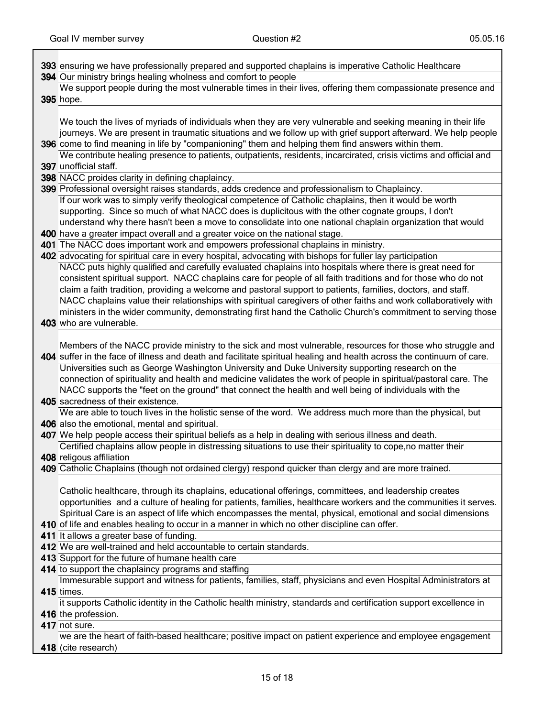ヿ

| 393 ensuring we have professionally prepared and supported chaplains is imperative Catholic Healthcare                                                                                                                              |
|-------------------------------------------------------------------------------------------------------------------------------------------------------------------------------------------------------------------------------------|
| 394 Our ministry brings healing wholness and comfort to people                                                                                                                                                                      |
| We support people during the most vulnerable times in their lives, offering them compassionate presence and                                                                                                                         |
| 395 hope.                                                                                                                                                                                                                           |
|                                                                                                                                                                                                                                     |
| We touch the lives of myriads of individuals when they are very vulnerable and seeking meaning in their life                                                                                                                        |
| journeys. We are present in traumatic situations and we follow up with grief support afterward. We help people                                                                                                                      |
| 396 come to find meaning in life by "companioning" them and helping them find answers within them.                                                                                                                                  |
| We contribute healing presence to patients, outpatients, residents, incarcirated, crisis victims and official and                                                                                                                   |
| 397 unofficial staff.                                                                                                                                                                                                               |
| 398 NACC proides clarity in defining chaplaincy.                                                                                                                                                                                    |
| 399 Professional oversight raises standards, adds credence and professionalism to Chaplaincy.                                                                                                                                       |
| If our work was to simply verify theological competence of Catholic chaplains, then it would be worth                                                                                                                               |
| supporting. Since so much of what NACC does is duplicitous with the other cognate groups, I don't                                                                                                                                   |
| understand why there hasn't been a move to consolidate into one national chaplain organization that would                                                                                                                           |
| 400 have a greater impact overall and a greater voice on the national stage.                                                                                                                                                        |
| 401 The NACC does important work and empowers professional chaplains in ministry.                                                                                                                                                   |
| 402 advocating for spiritual care in every hospital, advocating with bishops for fuller lay participation                                                                                                                           |
| NACC puts highly qualified and carefully evaluated chaplains into hospitals where there is great need for                                                                                                                           |
| consistent spiritual support. NACC chaplains care for people of all faith traditions and for those who do not                                                                                                                       |
| claim a faith tradition, providing a welcome and pastoral support to patients, families, doctors, and staff.                                                                                                                        |
| NACC chaplains value their relationships with spiritual caregivers of other faiths and work collaboratively with                                                                                                                    |
| ministers in the wider community, demonstrating first hand the Catholic Church's commitment to serving those                                                                                                                        |
| 403 who are vulnerable.                                                                                                                                                                                                             |
|                                                                                                                                                                                                                                     |
| Members of the NACC provide ministry to the sick and most vulnerable, resources for those who struggle and<br>404 suffer in the face of illness and death and facilitate spiritual healing and health across the continuum of care. |
| Universities such as George Washington University and Duke University supporting research on the                                                                                                                                    |
| connection of spirituality and health and medicine validates the work of people in spiritual/pastoral care. The                                                                                                                     |
| NACC supports the "feet on the ground" that connect the health and well being of individuals with the                                                                                                                               |
| 405 sacredness of their existence.                                                                                                                                                                                                  |
| We are able to touch lives in the holistic sense of the word. We address much more than the physical, but                                                                                                                           |
| 406 also the emotional, mental and spiritual.                                                                                                                                                                                       |
| 407 We help people access their spiritual beliefs as a help in dealing with serious illness and death.                                                                                                                              |
| Certified chaplains allow people in distressing situations to use their spirituality to cope, no matter their                                                                                                                       |
| 408 religous affiliation                                                                                                                                                                                                            |
| 409 Catholic Chaplains (though not ordained clergy) respond quicker than clergy and are more trained.                                                                                                                               |
|                                                                                                                                                                                                                                     |
| Catholic healthcare, through its chaplains, educational offerings, committees, and leadership creates                                                                                                                               |
| opportunities and a culture of healing for patients, families, healthcare workers and the communities it serves.                                                                                                                    |
| Spiritual Care is an aspect of life which encompasses the mental, physical, emotional and social dimensions                                                                                                                         |
| 410 of life and enables healing to occur in a manner in which no other discipline can offer.                                                                                                                                        |
| 411 It allows a greater base of funding.                                                                                                                                                                                            |
| 412 We are well-trained and held accountable to certain standards.                                                                                                                                                                  |
| 413 Support for the future of humane health care<br>414 to support the chaplaincy programs and staffing                                                                                                                             |
| Immesurable support and witness for patients, families, staff, physicians and even Hospital Administrators at                                                                                                                       |
| <b>415</b> times.                                                                                                                                                                                                                   |
| it supports Catholic identity in the Catholic health ministry, standards and certification support excellence in                                                                                                                    |
| 416 the profession.                                                                                                                                                                                                                 |
| 417 not sure.                                                                                                                                                                                                                       |
| we are the heart of faith-based healthcare; positive impact on patient experience and employee engagement                                                                                                                           |
| 418 (cite research)                                                                                                                                                                                                                 |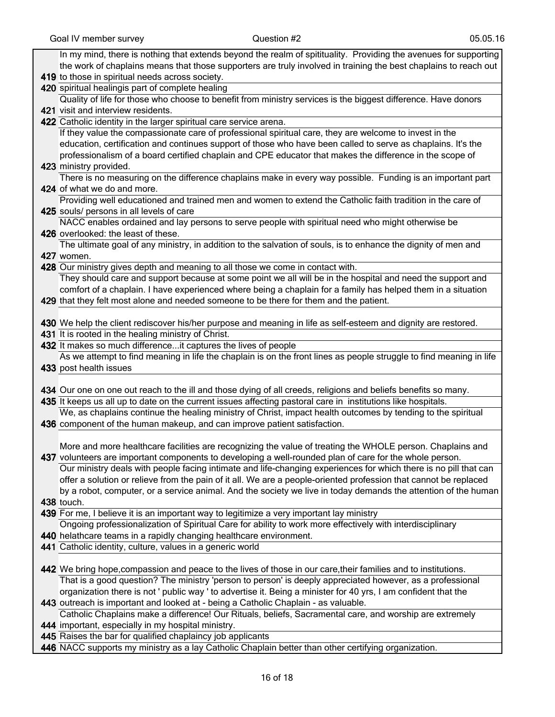| In my mind, there is nothing that extends beyond the realm of spitituality. Providing the avenues for supporting                                                                                                            |
|-----------------------------------------------------------------------------------------------------------------------------------------------------------------------------------------------------------------------------|
| the work of chaplains means that those supporters are truly involved in training the best chaplains to reach out                                                                                                            |
| 419 to those in spiritual needs across society.                                                                                                                                                                             |
| 420 spiritual healingis part of complete healing                                                                                                                                                                            |
| Quality of life for those who choose to benefit from ministry services is the biggest difference. Have donors                                                                                                               |
| 421 visit and interview residents.                                                                                                                                                                                          |
| 422 Catholic identity in the larger spiritual care service arena.                                                                                                                                                           |
| If they value the compassionate care of professional spiritual care, they are welcome to invest in the                                                                                                                      |
| education, certification and continues support of those who have been called to serve as chaplains. It's the                                                                                                                |
| professionalism of a board certified chaplain and CPE educator that makes the difference in the scope of                                                                                                                    |
| 423 ministry provided.                                                                                                                                                                                                      |
| There is no measuring on the difference chaplains make in every way possible. Funding is an important part                                                                                                                  |
| 424 of what we do and more.                                                                                                                                                                                                 |
| Providing well educationed and trained men and women to extend the Catholic faith tradition in the care of                                                                                                                  |
| 425 souls/ persons in all levels of care                                                                                                                                                                                    |
| NACC enables ordained and lay persons to serve people with spiritual need who might otherwise be                                                                                                                            |
| 426 overlooked: the least of these.                                                                                                                                                                                         |
| The ultimate goal of any ministry, in addition to the salvation of souls, is to enhance the dignity of men and                                                                                                              |
| 427 women.                                                                                                                                                                                                                  |
| 428 Our ministry gives depth and meaning to all those we come in contact with.<br>They should care and support because at some point we all will be in the hospital and need the support and                                |
| comfort of a chaplain. I have experienced where being a chaplain for a family has helped them in a situation                                                                                                                |
| 429 that they felt most alone and needed someone to be there for them and the patient.                                                                                                                                      |
|                                                                                                                                                                                                                             |
| 430 We help the client rediscover his/her purpose and meaning in life as self-esteem and dignity are restored.                                                                                                              |
| 431 It is rooted in the healing ministry of Christ.                                                                                                                                                                         |
| 432 It makes so much differenceit captures the lives of people                                                                                                                                                              |
| As we attempt to find meaning in life the chaplain is on the front lines as people struggle to find meaning in life                                                                                                         |
| 433 post health issues                                                                                                                                                                                                      |
|                                                                                                                                                                                                                             |
| 434 Our one on one out reach to the ill and those dying of all creeds, religions and beliefs benefits so many.                                                                                                              |
| 435 It keeps us all up to date on the current issues affecting pastoral care in institutions like hospitals.                                                                                                                |
| We, as chaplains continue the healing ministry of Christ, impact health outcomes by tending to the spiritual                                                                                                                |
| 436 component of the human makeup, and can improve patient satisfaction.                                                                                                                                                    |
|                                                                                                                                                                                                                             |
| More and more healthcare facilities are recognizing the value of treating the WHOLE person. Chaplains and                                                                                                                   |
| 437 volunteers are important components to developing a well-rounded plan of care for the whole person.<br>Our ministry deals with people facing intimate and life-changing experiences for which there is no pill that can |
| offer a solution or relieve from the pain of it all. We are a people-oriented profession that cannot be replaced                                                                                                            |
| by a robot, computer, or a service animal. And the society we live in today demands the attention of the human                                                                                                              |
| 438 touch.                                                                                                                                                                                                                  |
| 439 For me, I believe it is an important way to legitimize a very important lay ministry                                                                                                                                    |
| Ongoing professionalization of Spiritual Care for ability to work more effectively with interdisciplinary                                                                                                                   |
| 440 helathcare teams in a rapidly changing healthcare environment.                                                                                                                                                          |
| 441 Catholic identity, culture, values in a generic world                                                                                                                                                                   |
|                                                                                                                                                                                                                             |
| 442 We bring hope, compassion and peace to the lives of those in our care, their families and to institutions.                                                                                                              |
| That is a good question? The ministry 'person to person' is deeply appreciated however, as a professional                                                                                                                   |
| organization there is not ' public way ' to advertise it. Being a minister for 40 yrs, I am confident that the                                                                                                              |
| 443 outreach is important and looked at - being a Catholic Chaplain - as valuable.                                                                                                                                          |
| Catholic Chaplains make a difference! Our Rituals, beliefs, Sacramental care, and worship are extremely                                                                                                                     |
| 444 important, especially in my hospital ministry.                                                                                                                                                                          |
| 445 Raises the bar for qualified chaplaincy job applicants                                                                                                                                                                  |

446 NACC supports my ministry as a lay Catholic Chaplain better than other certifying organization.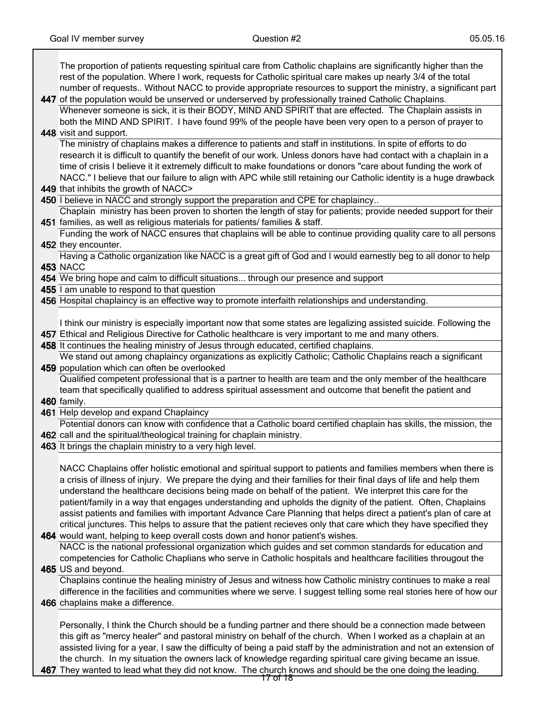٦

| The proportion of patients requesting spiritual care from Catholic chaplains are significantly higher than the<br>rest of the population. Where I work, requests for Catholic spiritual care makes up nearly 3/4 of the total<br>number of requests Without NACC to provide appropriate resources to support the ministry, a significant part |
|-----------------------------------------------------------------------------------------------------------------------------------------------------------------------------------------------------------------------------------------------------------------------------------------------------------------------------------------------|
| 447 of the population would be unserved or underserved by professionally trained Catholic Chaplains.                                                                                                                                                                                                                                          |
| Whenever someone is sick, it is their BODY, MIND AND SPIRIT that are effected. The Chaplain assists in                                                                                                                                                                                                                                        |
| both the MIND AND SPIRIT. I have found 99% of the people have been very open to a person of prayer to                                                                                                                                                                                                                                         |
| 448 visit and support.                                                                                                                                                                                                                                                                                                                        |
| The ministry of chaplains makes a difference to patients and staff in institutions. In spite of efforts to do                                                                                                                                                                                                                                 |
| research it is difficult to quantify the benefit of our work. Unless donors have had contact with a chaplain in a                                                                                                                                                                                                                             |
| time of crisis I believe it it extremely difficult to make foundations or donors "care about funding the work of                                                                                                                                                                                                                              |
| NACC." I believe that our failure to align with APC while still retaining our Catholic identity is a huge drawback                                                                                                                                                                                                                            |
| 449 that inhibits the growth of NACC>                                                                                                                                                                                                                                                                                                         |
| 450 I believe in NACC and strongly support the preparation and CPE for chaplaincy                                                                                                                                                                                                                                                             |
| Chaplain ministry has been proven to shorten the length of stay for patients; provide needed support for their                                                                                                                                                                                                                                |
| 451 families, as well as religious materials for patients/ families & staff.                                                                                                                                                                                                                                                                  |
| Funding the work of NACC ensures that chaplains will be able to continue providing quality care to all persons                                                                                                                                                                                                                                |
| 452 they encounter.                                                                                                                                                                                                                                                                                                                           |
| Having a Catholic organization like NACC is a great gift of God and I would earnestly beg to all donor to help                                                                                                                                                                                                                                |
| <b>453 NACC</b>                                                                                                                                                                                                                                                                                                                               |
| 454 We bring hope and calm to difficult situations through our presence and support<br>455 I am unable to respond to that question                                                                                                                                                                                                            |
| 456 Hospital chaplaincy is an effective way to promote interfaith relationships and understanding.                                                                                                                                                                                                                                            |
|                                                                                                                                                                                                                                                                                                                                               |
| I think our ministry is especially important now that some states are legalizing assisted suicide. Following the                                                                                                                                                                                                                              |
| 457 Ethical and Religious Directive for Catholic healthcare is very important to me and many others.                                                                                                                                                                                                                                          |
| 458 It continues the healing ministry of Jesus through educated, certified chaplains.                                                                                                                                                                                                                                                         |
| We stand out among chaplaincy organizations as explicitly Catholic; Catholic Chaplains reach a significant                                                                                                                                                                                                                                    |
| 459 population which can often be overlooked                                                                                                                                                                                                                                                                                                  |
| Qualified competent professional that is a partner to health are team and the only member of the healthcare                                                                                                                                                                                                                                   |
| team that specifically qualified to address spiritual assessment and outcome that benefit the patient and                                                                                                                                                                                                                                     |
| 460 family.                                                                                                                                                                                                                                                                                                                                   |
| 461 Help develop and expand Chaplaincy                                                                                                                                                                                                                                                                                                        |
| Potential donors can know with confidence that a Catholic board certified chaplain has skills, the mission, the                                                                                                                                                                                                                               |
| 462 call and the spiritual/theological training for chaplain ministry.                                                                                                                                                                                                                                                                        |
| 463 It brings the chaplain ministry to a very high level.                                                                                                                                                                                                                                                                                     |
| NACC Chaplains offer holistic emotional and spiritual support to patients and families members when there is                                                                                                                                                                                                                                  |
| a crisis of illness of injury. We prepare the dying and their families for their final days of life and help them                                                                                                                                                                                                                             |
| understand the healthcare decisions being made on behalf of the patient. We interpret this care for the                                                                                                                                                                                                                                       |
| patient/family in a way that engages understanding and upholds the dignity of the patient. Often, Chaplains                                                                                                                                                                                                                                   |
| assist patients and families with important Advance Care Planning that helps direct a patient's plan of care at                                                                                                                                                                                                                               |
| critical junctures. This helps to assure that the patient recieves only that care which they have specified they                                                                                                                                                                                                                              |
| 464 would want, helping to keep overall costs down and honor patient's wishes.                                                                                                                                                                                                                                                                |
| NACC is the national professional organization which guides and set common standards for education and                                                                                                                                                                                                                                        |
| competencies for Catholic Chaplians who serve in Catholic hospitals and healthcare facilities througout the                                                                                                                                                                                                                                   |
| 465 US and beyond.                                                                                                                                                                                                                                                                                                                            |
| Chaplains continue the healing ministry of Jesus and witness how Catholic ministry continues to make a real                                                                                                                                                                                                                                   |
| difference in the facilities and communities where we serve. I suggest telling some real stories here of how our                                                                                                                                                                                                                              |
| 466 chaplains make a difference.                                                                                                                                                                                                                                                                                                              |
|                                                                                                                                                                                                                                                                                                                                               |
| Personally, I think the Church should be a funding partner and there should be a connection made between                                                                                                                                                                                                                                      |
| this gift as "mercy healer" and pastoral ministry on behalf of the church. When I worked as a chaplain at an                                                                                                                                                                                                                                  |
| assisted living for a year, I saw the difficulty of being a paid staff by the administration and not an extension of                                                                                                                                                                                                                          |
| the church. In my situation the owners lack of knowledge regarding spiritual care giving became an issue.                                                                                                                                                                                                                                     |
| 467 They wanted to lead what they did not know. The church knows and should be the one doing the leading.                                                                                                                                                                                                                                     |

17 of 18